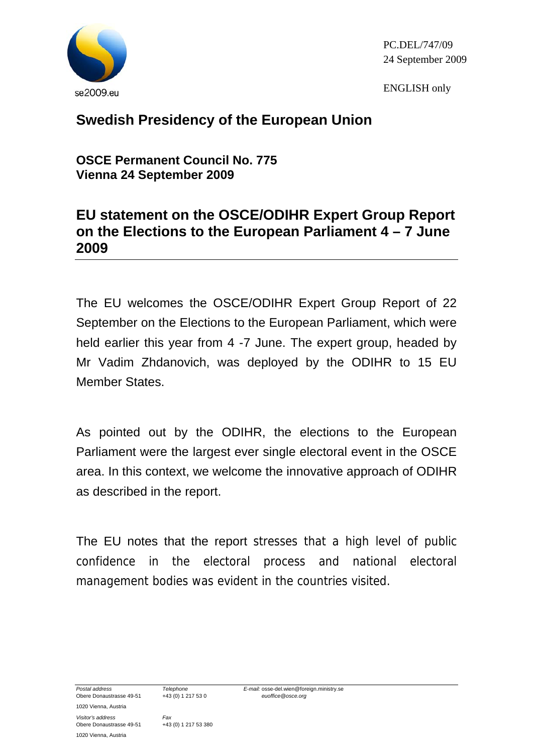

PC.DEL/747/09 24 September 2009

ENGLISH only

## **Swedish Presidency of the European Union**

**OSCE Permanent Council No. 775 Vienna 24 September 2009** 

## **EU statement on the OSCE/ODIHR Expert Group Report on the Elections to the European Parliament 4 – 7 June 2009**

The EU welcomes the OSCE/ODIHR Expert Group Report of 22 September on the Elections to the European Parliament, which were held earlier this year from 4 -7 June. The expert group, headed by Mr Vadim Zhdanovich, was deployed by the ODIHR to 15 EU Member States.

As pointed out by the ODIHR, the elections to the European Parliament were the largest ever single electoral event in the OSCE area. In this context, we welcome the innovative approach of ODIHR as described in the report.

The EU notes that the report stresses that a high level of public confidence in the electoral process and national electoral management bodies was evident in the countries visited.